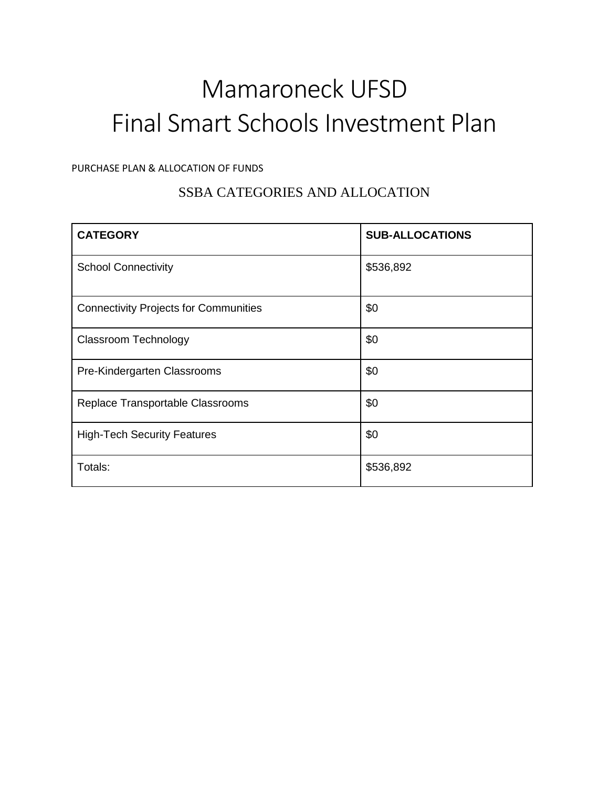# Mamaroneck UFSD Final Smart Schools Investment Plan

#### PURCHASE PLAN & ALLOCATION OF FUNDS

## SSBA CATEGORIES AND ALLOCATION

| <b>CATEGORY</b>                              | <b>SUB-ALLOCATIONS</b> |
|----------------------------------------------|------------------------|
| <b>School Connectivity</b>                   | \$536,892              |
| <b>Connectivity Projects for Communities</b> | \$0                    |
| <b>Classroom Technology</b>                  | \$0                    |
| Pre-Kindergarten Classrooms                  | \$0                    |
| Replace Transportable Classrooms             | \$0                    |
| <b>High-Tech Security Features</b>           | \$0                    |
| Totals:                                      | \$536,892              |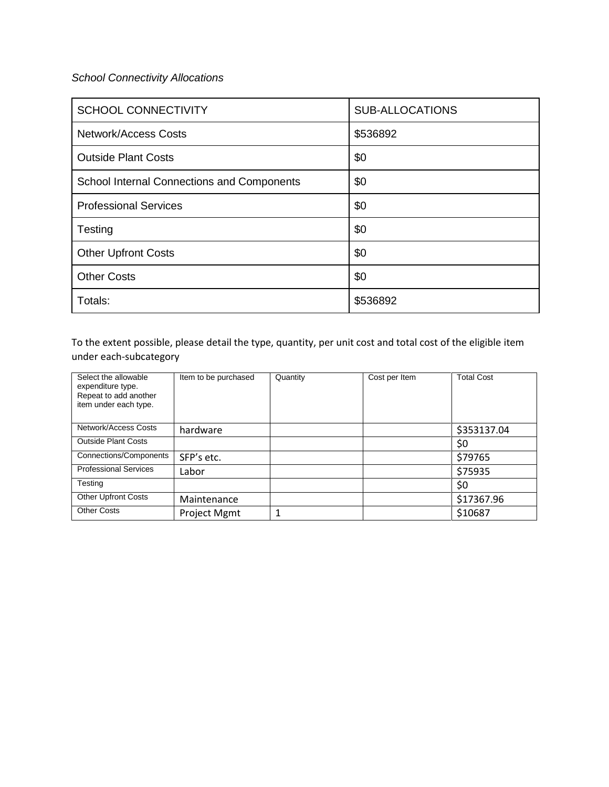#### *School Connectivity Allocations*

| <b>SCHOOL CONNECTIVITY</b>                 | <b>SUB-ALLOCATIONS</b> |
|--------------------------------------------|------------------------|
| Network/Access Costs                       | \$536892               |
| <b>Outside Plant Costs</b>                 | \$0                    |
| School Internal Connections and Components | \$0                    |
| <b>Professional Services</b>               | \$0                    |
| Testing                                    | \$0                    |
| <b>Other Upfront Costs</b>                 | \$0                    |
| <b>Other Costs</b>                         | \$0                    |
| Totals:                                    | \$536892               |

To the extent possible, please detail the type, quantity, per unit cost and total cost of the eligible item under each-subcategory

| Select the allowable<br>expenditure type.<br>Repeat to add another<br>item under each type. | Item to be purchased | Quantity | Cost per Item | <b>Total Cost</b> |
|---------------------------------------------------------------------------------------------|----------------------|----------|---------------|-------------------|
| Network/Access Costs                                                                        | hardware             |          |               | \$353137.04       |
| <b>Outside Plant Costs</b>                                                                  |                      |          |               | \$0               |
| Connections/Components                                                                      | SFP's etc.           |          |               | \$79765           |
| <b>Professional Services</b>                                                                | Labor                |          |               | \$75935           |
| Testing                                                                                     |                      |          |               | \$0               |
| <b>Other Upfront Costs</b>                                                                  | Maintenance          |          |               | \$17367.96        |
| <b>Other Costs</b>                                                                          | Project Mgmt         |          |               | \$10687           |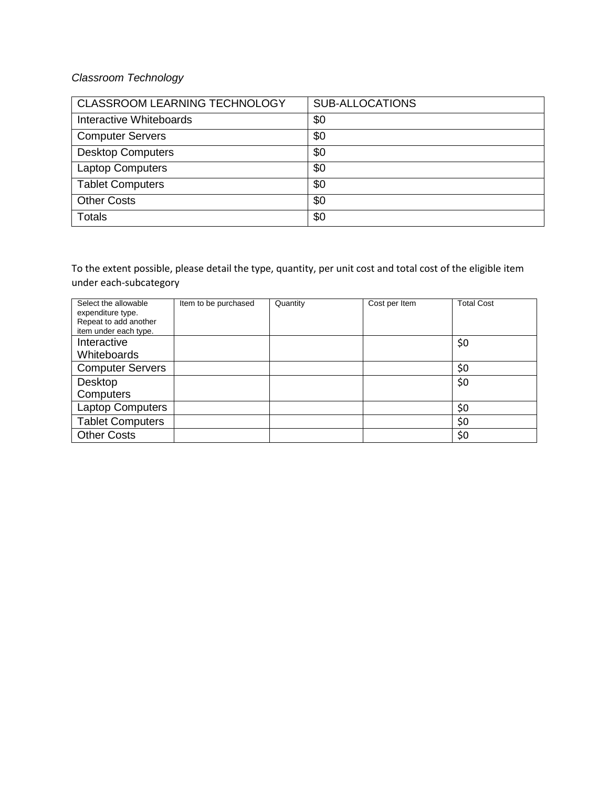### *Classroom Technology*

| CLASSROOM LEARNING TECHNOLOGY | <b>SUB-ALLOCATIONS</b> |
|-------------------------------|------------------------|
| Interactive Whiteboards       | \$0                    |
| <b>Computer Servers</b>       | \$0                    |
| <b>Desktop Computers</b>      | \$0                    |
| <b>Laptop Computers</b>       | \$0                    |
| <b>Tablet Computers</b>       | \$0                    |
| <b>Other Costs</b>            | \$0                    |
| <b>Totals</b>                 | \$0                    |

To the extent possible, please detail the type, quantity, per unit cost and total cost of the eligible item under each-subcategory

| Select the allowable<br>expenditure type.<br>Repeat to add another<br>item under each type. | Item to be purchased | Quantity | Cost per Item | <b>Total Cost</b> |
|---------------------------------------------------------------------------------------------|----------------------|----------|---------------|-------------------|
| Interactive                                                                                 |                      |          |               | \$0               |
| Whiteboards                                                                                 |                      |          |               |                   |
| <b>Computer Servers</b>                                                                     |                      |          |               | \$0               |
| Desktop                                                                                     |                      |          |               | \$0               |
| Computers                                                                                   |                      |          |               |                   |
| <b>Laptop Computers</b>                                                                     |                      |          |               | \$0               |
| <b>Tablet Computers</b>                                                                     |                      |          |               | \$0               |
| <b>Other Costs</b>                                                                          |                      |          |               | \$0               |